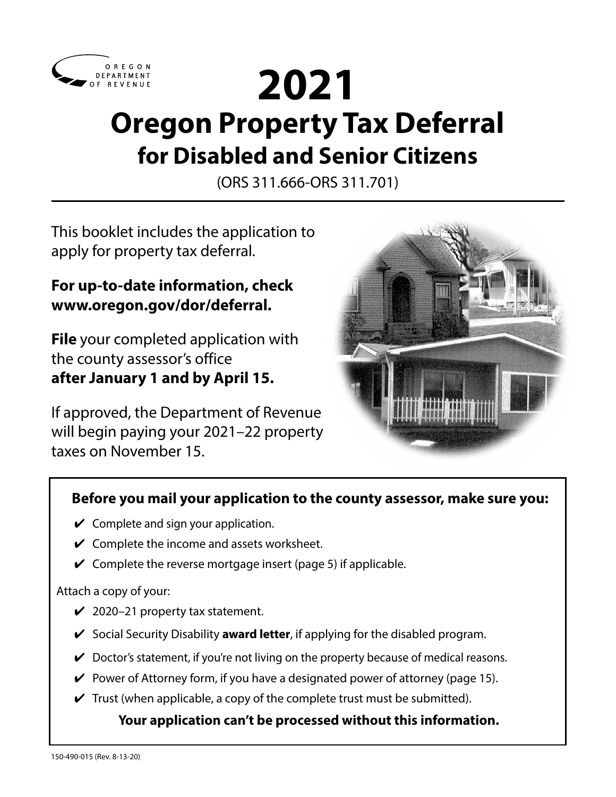

# **2021 Oregon Property Tax Deferral for Disabled and Senior Citizens**

(ORS 311.666-ORS 311.701)

This booklet includes the application to apply for property tax deferral.

# **For up-to-date information, check www.oregon.gov/dor/deferral.**

**File** your completed application with the county assessor's office **after January 1 and by April 15.** 

If approved, the Department of Revenue will begin paying your 2021–22 property taxes on November 15.



# **Before you mail your application to the county assessor, make sure you:**

- $\checkmark$  Complete and sign your application.
- $\checkmark$  Complete the income and assets worksheet.
- $\vee$  Complete the reverse mortgage insert (page 5) if applicable.

Attach a copy of your:

- $\checkmark$  2020–21 property tax statement.
- ✔ Social Security Disability **award letter**, if applying for the disabled program.
- $\vee$  Doctor's statement, if you're not living on the property because of medical reasons.
- $\vee$  Power of Attorney form, if you have a designated power of attorney (page 15).
- $\checkmark$  Trust (when applicable, a copy of the complete trust must be submitted).

## **Your application can't be processed without this information.**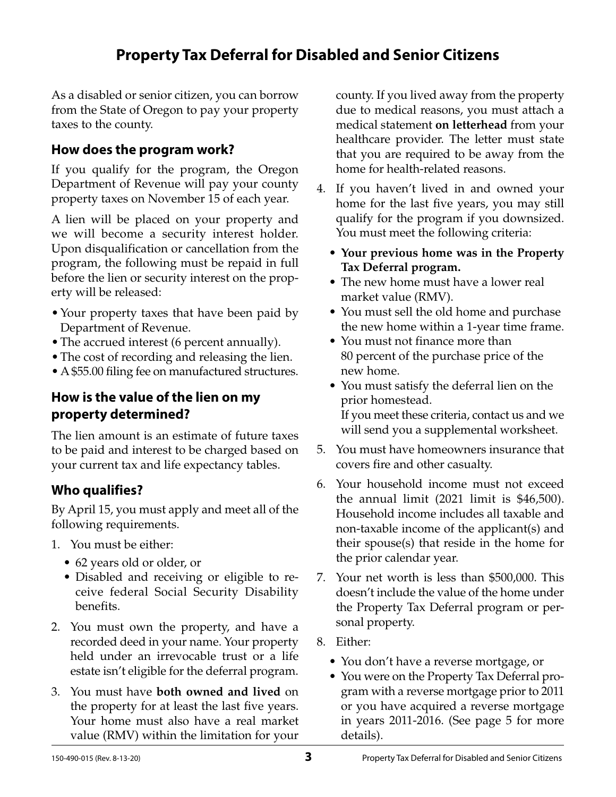# **Property Tax Deferral for Disabled and Senior Citizens**

As a disabled or senior citizen, you can borrow from the State of Oregon to pay your property taxes to the county.

## **How does the program work?**

If you qualify for the program, the Oregon Department of Revenue will pay your county property taxes on November 15 of each year.

A lien will be placed on your property and we will become a security interest holder. Upon disqualification or cancellation from the program, the following must be repaid in full before the lien or security interest on the property will be released:

- Your property taxes that have been paid by Department of Revenue.
- The accrued interest (6 percent annually).
- The cost of recording and releasing the lien.
- •A \$55.00 filing fee on manufactured structures.

## **How is the value of the lien on my property determined?**

The lien amount is an estimate of future taxes to be paid and interest to be charged based on your current tax and life expectancy tables.

# **Who qualifies?**

By April 15, you must apply and meet all of the following requirements.

- 1. You must be either:
	- 62 years old or older, or
	- Disabled and receiving or eligible to receive federal Social Security Disability benefits.
- 2. You must own the property, and have a recorded deed in your name. Your property held under an irrevocable trust or a life estate isn't eligible for the deferral program.
- 3. You must have **both owned and lived** on the property for at least the last five years. Your home must also have a real market value (RMV) within the limitation for your

county. If you lived away from the property due to medical reasons, you must attach a medical statement **on letterhead** from your healthcare provider. The letter must state that you are required to be away from the home for health-related reasons.

- 4. If you haven't lived in and owned your home for the last five years, you may still qualify for the program if you downsized. You must meet the following criteria:
	- **• Your previous home was in the Property Tax Deferral program.**
	- The new home must have a lower real market value (RMV).
	- You must sell the old home and purchase the new home within a 1-year time frame.
	- You must not finance more than 80 percent of the purchase price of the new home.
	- You must satisfy the deferral lien on the prior homestead. If you meet these criteria, contact us and we will send you a supplemental worksheet.
- 5. You must have homeowners insurance that covers fire and other casualty.
- 6. Your household income must not exceed the annual limit (2021 limit is \$46,500). Household income includes all taxable and non-taxable income of the applicant(s) and their spouse(s) that reside in the home for the prior calendar year.
- 7. Your net worth is less than \$500,000. This doesn't include the value of the home under the Property Tax Deferral program or personal property.
- 8. Either:
	- You don't have a reverse mortgage, or
	- You were on the Property Tax Deferral program with a reverse mortgage prior to 2011 or you have acquired a reverse mortgage in years 2011-2016. (See page 5 for more details).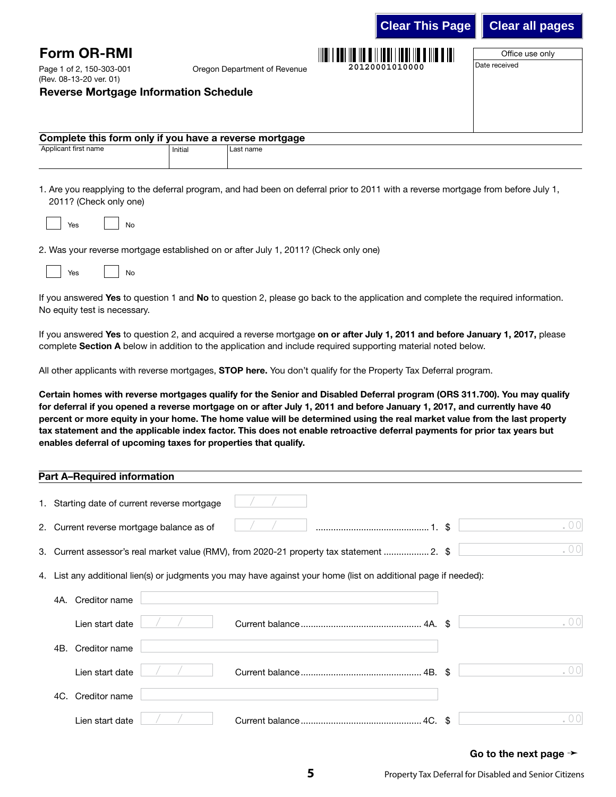|                                                        |                              | --------------- |                 |  |  |  |
|--------------------------------------------------------|------------------------------|-----------------|-----------------|--|--|--|
| <b>Form OR-RMI</b>                                     |                              |                 | Office use only |  |  |  |
| Page 1 of 2, 150-303-001<br>(Rev. 08-13-20 ver. 01)    | Oregon Department of Revenue | 20120001010000  | Date received   |  |  |  |
| <b>Reverse Mortgage Information Schedule</b>           |                              |                 |                 |  |  |  |
|                                                        |                              |                 |                 |  |  |  |
|                                                        |                              |                 |                 |  |  |  |
| Complete this form only if you have a reverse mortgage |                              |                 |                 |  |  |  |
| Applicant first name                                   | Last name<br>Initial         |                 |                 |  |  |  |
|                                                        |                              |                 |                 |  |  |  |
|                                                        |                              |                 |                 |  |  |  |

1. Are you reapplying to the deferral program, and had been on deferral prior to 2011 with a reverse mortgage from before July 1, 2011? (Check only one)

| <b>Yes</b> |  | No |
|------------|--|----|
|------------|--|----|

2. Was your reverse mortgage established on or after July 1, 2011? (Check only one)

| 709 | <b>N<sub>O</sub></b> |
|-----|----------------------|
| $-$ |                      |
|     |                      |

If you answered Yes to question 1 and No to question 2, please go back to the application and complete the required information. No equity test is necessary.

If you answered Yes to question 2, and acquired a reverse mortgage on or after July 1, 2011 and before January 1, 2017, please complete Section A below in addition to the application and include required supporting material noted below.

All other applicants with reverse mortgages, STOP here. You don't qualify for the Property Tax Deferral program.

Certain homes with reverse mortgages qualify for the Senior and Disabled Deferral program (ORS 311.700). You may qualify for deferral if you opened a reverse mortgage on or after July 1, 2011 and before January 1, 2017, and currently have 40 percent or more equity in your home. The home value will be determined using the real market value from the last property tax statement and the applicable index factor. This does not enable retroactive deferral payments for prior tax years but enables deferral of upcoming taxes for properties that qualify.

| <b>Part A-Required information</b>           |                                                                                                                 |      |
|----------------------------------------------|-----------------------------------------------------------------------------------------------------------------|------|
| 1. Starting date of current reverse mortgage |                                                                                                                 |      |
| 2. Current reverse mortgage balance as of    |                                                                                                                 | .00  |
|                                              | 3. Current assessor's real market value (RMV), from 2020-21 property tax statement  2. \$                       | .00  |
|                                              | 4. List any additional lien(s) or judgments you may have against your home (list on additional page if needed): |      |
| Creditor name<br>4A.                         |                                                                                                                 |      |
| Lien start date                              |                                                                                                                 | . 00 |
| Creditor name<br>4B.                         |                                                                                                                 |      |
| Lien start date                              |                                                                                                                 | . 00 |
| Creditor name<br>4C.                         |                                                                                                                 |      |
| Lien start date                              |                                                                                                                 | . 00 |

#### Go to the next page  $\rightarrow$

**Clear This Page Clear all pages**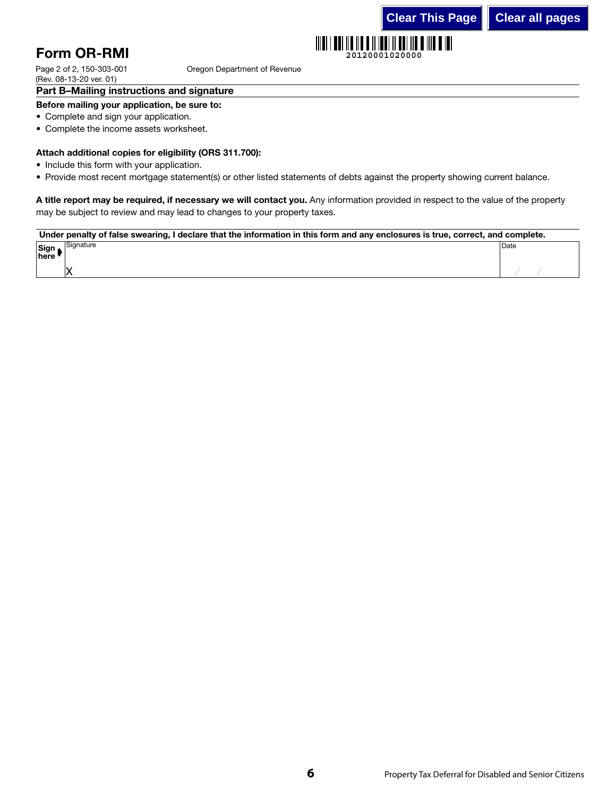**20120001020000**

# Form OR-RMI

Oregon Department of Revenue

Page 2 of 2, 150-303-001 (Rev. 08-13-20 ver. 01)

#### Part B–Mailing instructions and signature

#### Before mailing your application, be sure to:

- Complete and sign your application.
- Complete the income assets worksheet.

#### Attach additional copies for eligibility (ORS 311.700):

- Include this form with your application.
- Provide most recent mortgage statement(s) or other listed statements of debts against the property showing current balance.

A title report may be required, if necessary we will contact you. Any information provided in respect to the value of the property may be subject to review and may lead to changes to your property taxes.

Ⅲ

#### Under penalty of false swearing, I declare that the information in this form and any enclosures is true, correct, and complete.

| Cimn<br>$\frac{9}{10}$ | `iqnature            | Date |
|------------------------|----------------------|------|
|                        | Ιv<br>$\overline{ }$ |      |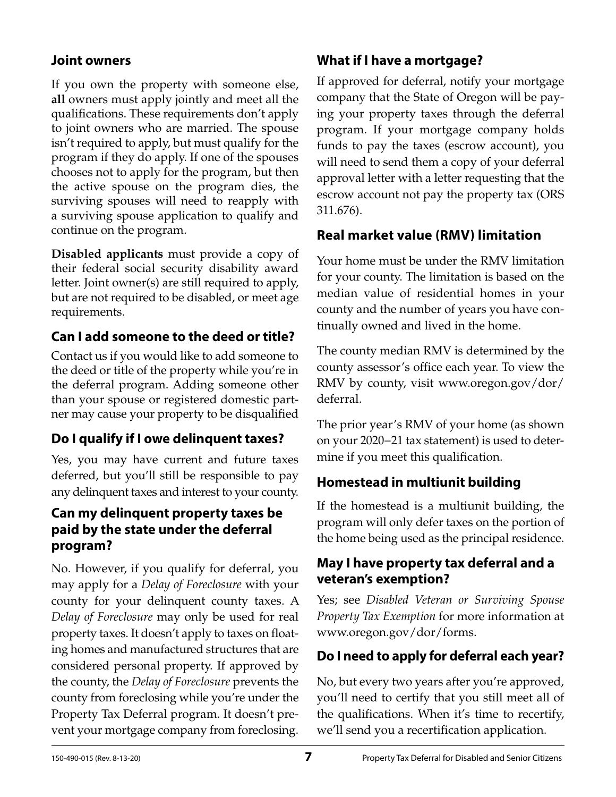## **Joint owners**

If you own the property with someone else, **all** owners must apply jointly and meet all the qualifications. These requirements don't apply to joint owners who are married. The spouse isn't required to apply, but must qualify for the program if they do apply. If one of the spouses chooses not to apply for the program, but then the active spouse on the program dies, the surviving spouses will need to reapply with a surviving spouse application to qualify and continue on the program.

**Disabled applicants** must provide a copy of their federal social security disability award letter. Joint owner(s) are still required to apply, but are not required to be disabled, or meet age requirements.

# **Can I add someone to the deed or title?**

Contact us if you would like to add someone to the deed or title of the property while you're in the deferral program. Adding someone other than your spouse or registered domestic partner may cause your property to be disqualified

# **Do I qualify if I owe delinquent taxes?**

Yes, you may have current and future taxes deferred, but you'll still be responsible to pay any delinquent taxes and interest to your county.

## **Can my delinquent property taxes be paid by the state under the deferral program?**

No. However, if you qualify for deferral, you may apply for a *Delay of Foreclosure* with your county for your delinquent county taxes. A *Delay of Foreclosure* may only be used for real property taxes. It doesn't apply to taxes on floating homes and manufactured structures that are considered personal property. If approved by the county, the *Delay of Foreclosure* prevents the county from foreclosing while you're under the Property Tax Deferral program. It doesn't prevent your mortgage company from foreclosing.

## **What if I have a mortgage?**

If approved for deferral, notify your mortgage company that the State of Oregon will be paying your property taxes through the deferral program. If your mortgage company holds funds to pay the taxes (escrow account), you will need to send them a copy of your deferral approval letter with a letter requesting that the escrow account not pay the property tax (ORS 311.676).

## **Real market value (RMV) limitation**

Your home must be under the RMV limitation for your county. The limitation is based on the median value of residential homes in your county and the number of years you have continually owned and lived in the home.

The county median RMV is determined by the county assessor's office each year. To view the RMV by county, visit www.oregon.gov/dor/ deferral.

The prior year's RMV of your home (as shown on your 2020−21 tax statement) is used to determine if you meet this qualification.

# **Homestead in multiunit building**

If the homestead is a multiunit building, the program will only defer taxes on the portion of the home being used as the principal residence.

## **May I have property tax deferral and a veteran's exemption?**

Yes; see *Disabled Veteran or Surviving Spouse Property Tax Exemption* for more information at www.oregon.gov/dor/forms.

# **Do I need to apply for deferral each year?**

No, but every two years after you're approved, you'll need to certify that you still meet all of the qualifications. When it's time to recertify, we'll send you a recertification application.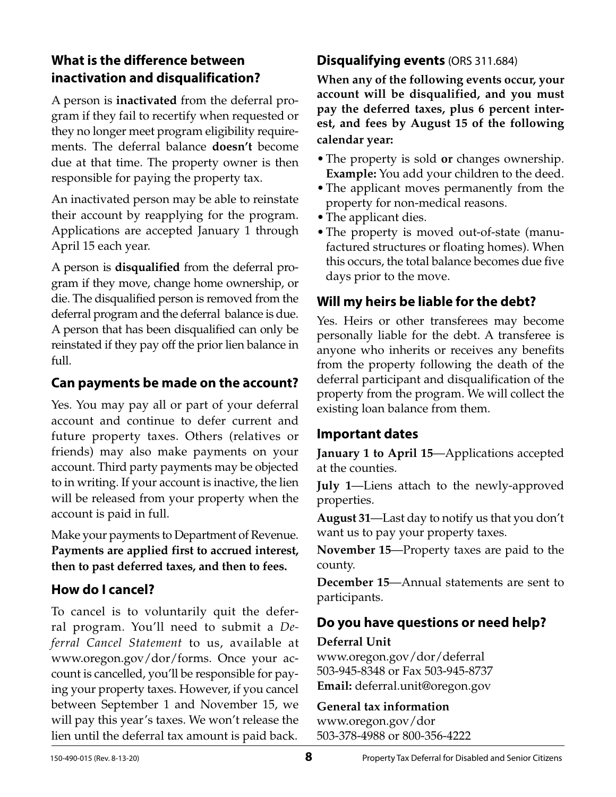# **What is the difference between inactivation and disqualification?**

A person is **inactivated** from the deferral program if they fail to recertify when requested or they no longer meet program eligibility requirements. The deferral balance **doesn't** become due at that time. The property owner is then responsible for paying the property tax.

An inactivated person may be able to reinstate their account by reapplying for the program. Applications are accepted January 1 through April 15 each year.

A person is **disqualified** from the deferral program if they move, change home ownership, or die. The disqualified person is removed from the deferral program and the deferral balance is due. A person that has been disqualified can only be reinstated if they pay off the prior lien balance in full.

## **Can payments be made on the account?**

Yes. You may pay all or part of your deferral account and continue to defer current and future property taxes. Others (relatives or friends) may also make payments on your account. Third party payments may be objected to in writing. If your account is inactive, the lien will be released from your property when the account is paid in full.

Make your payments to Department of Revenue. **Payments are applied first to accrued interest, then to past deferred taxes, and then to fees.**

# **How do I cancel?**

To cancel is to voluntarily quit the deferral program. You'll need to submit a *Deferral Cancel Statement* to us, available at www.oregon.gov/dor/forms. Once your account is cancelled, you'll be responsible for paying your property taxes. However, if you cancel between September 1 and November 15, we will pay this year's taxes. We won't release the lien until the deferral tax amount is paid back.

## **Disqualifying events** (ORS 311.684)

**When any of the following events occur, your account will be disqualified, and you must pay the deferred taxes, plus 6 percent interest, and fees by August 15 of the following calendar year:**

- •The property is sold **or** changes ownership. **Example:** You add your children to the deed.
- •The applicant moves permanently from the property for non-medical reasons.
- The applicant dies.
- The property is moved out-of-state (manufactured structures or floating homes). When this occurs, the total balance becomes due five days prior to the move.

# **Will my heirs be liable for the debt?**

Yes. Heirs or other transferees may become personally liable for the debt. A transferee is anyone who inherits or receives any benefits from the property following the death of the deferral participant and disqualification of the property from the program. We will collect the existing loan balance from them.

## **Important dates**

**January 1 to April 15**—Applications accepted at the counties.

**July 1**—Liens attach to the newly-approved properties.

**August 31**—Last day to notify us that you don't want us to pay your property taxes.

**November 15**—Property taxes are paid to the county.

**December 15**—Annual statements are sent to participants.

# **Do you have questions or need help?**

**Deferral Unit**

www.oregon.gov/dor/deferral 503-945-8348 or Fax 503-945-8737 **Email:** deferral.unit@oregon.gov

## **General tax information**

www.oregon.gov/dor 503-378-4988 or 800-356-4222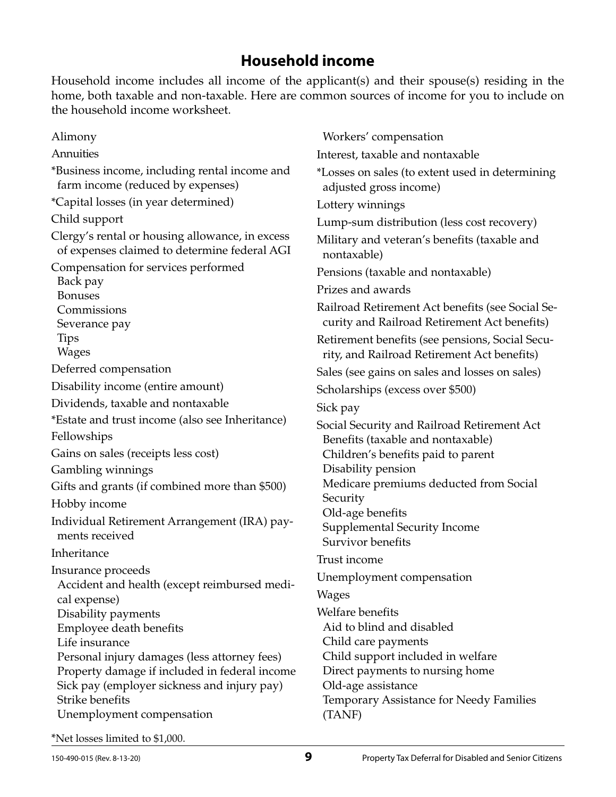# **Household income**

Household income includes all income of the applicant(s) and their spouse(s) residing in the home, both taxable and non-taxable. Here are common sources of income for you to include on the household income worksheet.

Alimony Annuities \*Business income, including rental income and farm income (reduced by expenses) \*Capital losses (in year determined) Child support Clergy's rental or housing allowance, in excess of expenses claimed to determine federal AGI Compensation for services performed Back pay Bonuses **Commissions** Severance pay Tips Wages Deferred compensation Disability income (entire amount) Dividends, taxable and nontaxable \*Estate and trust income (also see Inheritance) Fellowships Gains on sales (receipts less cost) Gambling winnings Gifts and grants (if combined more than \$500) Hobby income Individual Retirement Arrangement (IRA) payments received Inheritance Insurance proceeds Accident and health (except reimbursed medical expense) Disability payments Employee death benefits Life insurance Personal injury damages (less attorney fees) Property damage if included in federal income Sick pay (employer sickness and injury pay) Strike benefits Unemployment compensation nontaxable) Sick pay **Security** Trust income Wages (TANF)

Workers' compensation Interest, taxable and nontaxable \*Losses on sales (to extent used in determining adjusted gross income) Lottery winnings Lump-sum distribution (less cost recovery) Military and veteran's benefits (taxable and Pensions (taxable and nontaxable) Prizes and awards Railroad Retirement Act benefits (see Social Security and Railroad Retirement Act benefits) Retirement benefits (see pensions, Social Security, and Railroad Retirement Act benefits) Sales (see gains on sales and losses on sales) Scholarships (excess over \$500) Social Security and Railroad Retirement Act Benefits (taxable and nontaxable) Children's benefits paid to parent Disability pension Medicare premiums deducted from Social Old-age benefits Supplemental Security Income Survivor benefits Unemployment compensation Welfare benefits Aid to blind and disabled Child care payments Child support included in welfare Direct payments to nursing home Old-age assistance Temporary Assistance for Needy Families

\*Net losses limited to \$1,000.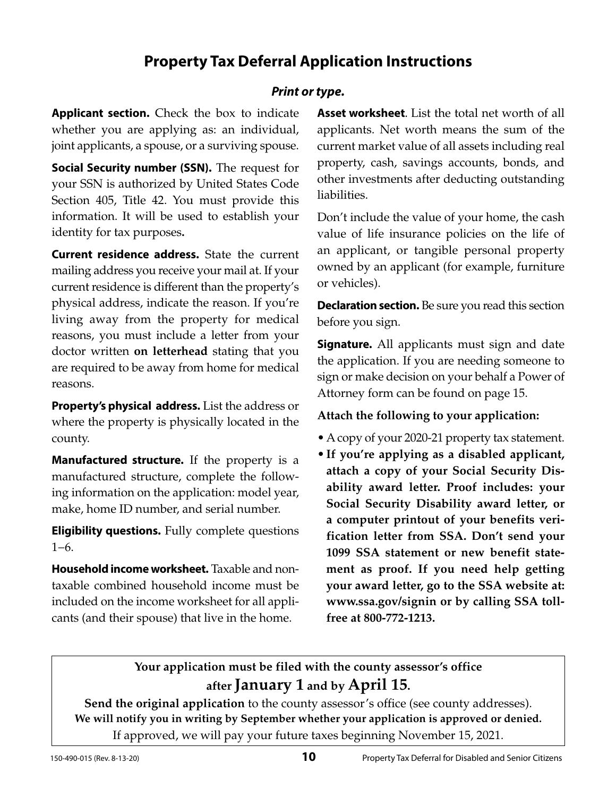# **Property Tax Deferral Application Instructions**

## *Print or type.*

**Applicant section.** Check the box to indicate whether you are applying as: an individual, joint applicants, a spouse, or a surviving spouse.

**Social Security number (SSN).** The request for your SSN is authorized by United States Code Section 405, Title 42. You must provide this information. It will be used to establish your identity for tax purposes**.**

**Current residence address.** State the current mailing address you receive your mail at. If your current residence is different than the property's physical address, indicate the reason. If you're living away from the property for medical reasons, you must include a letter from your doctor written **on letterhead** stating that you are required to be away from home for medical reasons.

**Property's physical address.** List the address or where the property is physically located in the county.

**Manufactured structure.** If the property is a manufactured structure, complete the following information on the application: model year, make, home ID number, and serial number.

**Eligibility questions.** Fully complete questions 1−6.

**Household income worksheet.** Taxable and nontaxable combined household income must be included on the income worksheet for all applicants (and their spouse) that live in the home.

**Asset worksheet**. List the total net worth of all applicants. Net worth means the sum of the current market value of all assets including real property, cash, savings accounts, bonds, and other investments after deducting outstanding liabilities.

Don't include the value of your home, the cash value of life insurance policies on the life of an applicant, or tangible personal property owned by an applicant (for example, furniture or vehicles).

**Declaration section.** Be sure you read this section before you sign.

**Signature.** All applicants must sign and date the application. If you are needing someone to sign or make decision on your behalf a Power of Attorney form can be found on page 15.

#### **Attach the following to your application:**

- •A copy of your 2020-21 property tax statement.
- •**If you're applying as a disabled applicant, attach a copy of your Social Security Disability award letter. Proof includes: your Social Security Disability award letter, or a computer printout of your benefits verification letter from SSA. Don't send your 1099 SSA statement or new benefit statement as proof. If you need help getting your award letter, go to the SSA website at: www.ssa.gov/signin or by calling SSA tollfree at 800-772-1213.**

## **Your application must be filed with the county assessor's office after January 1 and by April 15.**

**Send the original application** to the county assessor's office (see county addresses). **We will notify you in writing by September whether your application is approved or denied.** If approved, we will pay your future taxes beginning November 15, 2021.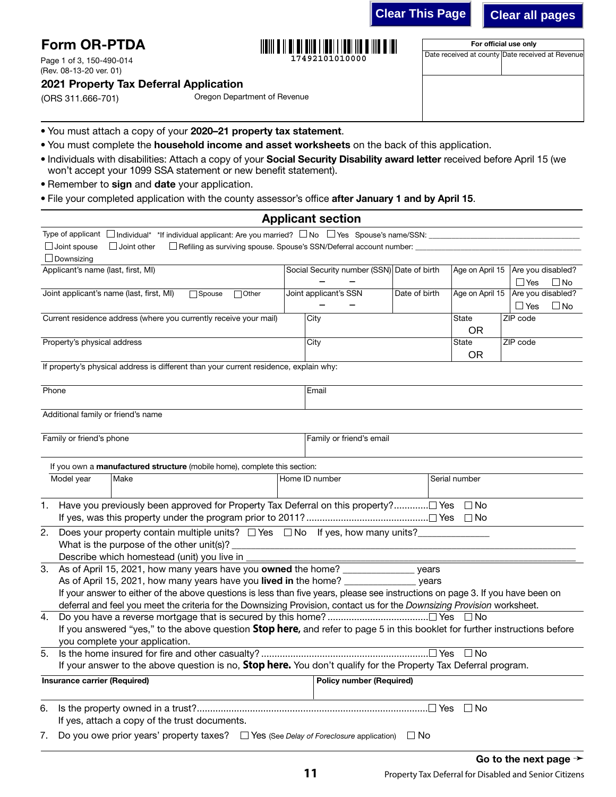**Clear This Page Clear all pages**

For official use only Date received at county Date received at Revenue

| <b>Form OR-PTDA</b> |  |
|---------------------|--|
|                     |  |

Page 1 of 3, 150-490-014 (Rev. 08-13-20 ver. 01)

## 2021 Property Tax Deferral Application

(ORS 311.666-701)

Oregon Department of Revenue

- You must attach a copy of your 2020–21 property tax statement.
- You must complete the household income and asset worksheets on the back of this application.
- Individuals with disabilities: Attach a copy of your Social Security Disability award letter received before April 15 (we won't accept your 1099 SSA statement or new benefit statement).

**17492101010000**

- Remember to sign and date your application.
- File your completed application with the county assessor's office after January 1 and by April 15.

|                                                                                                                                         | <b>Applicant section</b>                   |               |               |                                     |
|-----------------------------------------------------------------------------------------------------------------------------------------|--------------------------------------------|---------------|---------------|-------------------------------------|
| Type of applicant □ Individual* *If individual applicant: Are you married? □ No □ Yes Spouse's name/SSN: ______________________________ |                                            |               |               |                                     |
| $\Box$ Joint spouse<br>$\Box$ Joint other                                                                                               |                                            |               |               |                                     |
| $\Box$ Downsizing                                                                                                                       |                                            |               |               |                                     |
| Applicant's name (last, first, MI)                                                                                                      | Social Security number (SSN) Date of birth |               |               | Age on April 15   Are you disabled? |
|                                                                                                                                         |                                            |               |               | $\Box$ Yes<br>$\square$ No          |
| Joint applicant's name (last, first, MI)<br>$\Box$ Other<br>$\Box$ Spouse                                                               | Joint applicant's SSN                      | Date of birth |               | Age on April 15 Are you disabled?   |
|                                                                                                                                         |                                            |               |               | $\Box$ Yes<br>$\square$ No          |
| Current residence address (where you currently receive your mail)                                                                       | City                                       |               | State         | ZIP code                            |
|                                                                                                                                         |                                            |               | <b>OR</b>     |                                     |
| Property's physical address                                                                                                             | City                                       |               | State         | ZIP code                            |
|                                                                                                                                         |                                            |               | <b>OR</b>     |                                     |
| If property's physical address is different than your current residence, explain why:                                                   |                                            |               |               |                                     |
|                                                                                                                                         |                                            |               |               |                                     |
| Phone                                                                                                                                   | Email                                      |               |               |                                     |
|                                                                                                                                         |                                            |               |               |                                     |
| Additional family or friend's name                                                                                                      |                                            |               |               |                                     |
|                                                                                                                                         |                                            |               |               |                                     |
| Family or friend's phone                                                                                                                | Family or friend's email                   |               |               |                                     |
|                                                                                                                                         |                                            |               |               |                                     |
| If you own a manufactured structure (mobile home), complete this section:                                                               |                                            |               |               |                                     |
| Model year<br>Make                                                                                                                      | Home ID number                             |               | Serial number |                                     |
|                                                                                                                                         |                                            |               |               |                                     |
| Have you previously been approved for Property Tax Deferral on this property? Yes $\Box$ No<br>1.                                       |                                            |               |               |                                     |
|                                                                                                                                         |                                            |               |               |                                     |
|                                                                                                                                         |                                            |               |               |                                     |
| Does your property contain multiple units? $\Box$ Yes $\Box$ No If yes, how many units?<br>2.                                           |                                            |               |               |                                     |
|                                                                                                                                         |                                            |               |               |                                     |
| Describe which homestead (unit) you live in<br>As of April 15, 2021, how many years have you owned the home? ______________             |                                            |               |               |                                     |
| 3.<br>As of April 15, 2021, how many years have you lived in the home? ______________                                                   |                                            | vears         |               |                                     |
| If your answer to either of the above questions is less than five years, please see instructions on page 3. If you have been on         |                                            | years         |               |                                     |
| deferral and feel you meet the criteria for the Downsizing Provision, contact us for the Downsizing Provision worksheet.                |                                            |               |               |                                     |
| 4.                                                                                                                                      |                                            |               |               |                                     |
| If you answered "yes," to the above question <b>Stop here</b> , and refer to page 5 in this booklet for further instructions before     |                                            |               |               |                                     |
| you complete your application.                                                                                                          |                                            |               |               |                                     |
| 5.                                                                                                                                      |                                            |               |               |                                     |
| If your answer to the above question is no, Stop here. You don't qualify for the Property Tax Deferral program.                         |                                            |               |               |                                     |
|                                                                                                                                         |                                            |               |               |                                     |
| Insurance carrier (Required)                                                                                                            | <b>Policy number (Required)</b>            |               |               |                                     |
| 6.                                                                                                                                      |                                            |               | $\square$ No  |                                     |
| If yes, attach a copy of the trust documents.                                                                                           |                                            |               |               |                                     |
| Do you owe prior years' property taxes? $\square$ Yes (See Delay of Foreclosure application)<br>7.                                      |                                            | $\Box$ No     |               |                                     |
|                                                                                                                                         |                                            |               |               |                                     |
|                                                                                                                                         |                                            |               |               | Go to the next page $\rightarrow$   |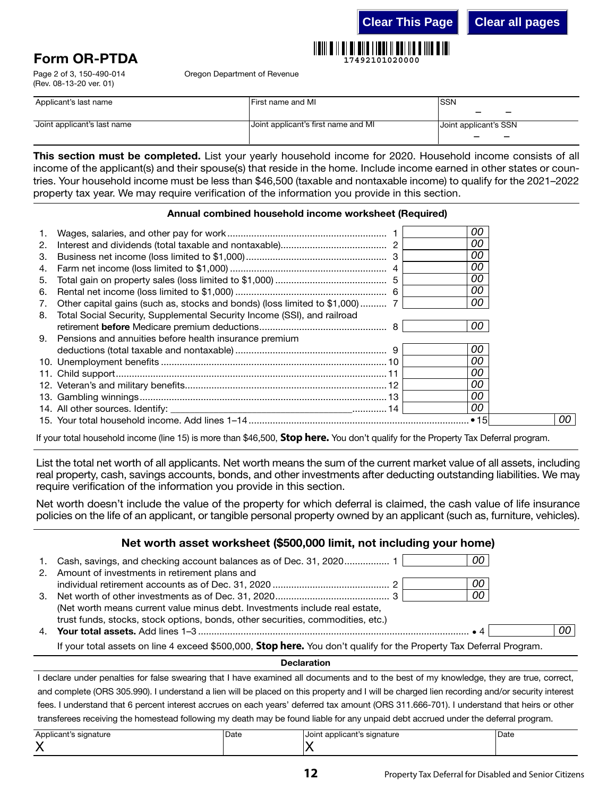**Clear This Page Clear all pages**



# Form OR-PTDA

Page 2 of 3, 150-490-014 (Rev. 08-13-20 ver. 01)

Oregon Department of Revenue

| Applicant's last name       | lFirst name and MI                  | <b>ISSN</b>           |
|-----------------------------|-------------------------------------|-----------------------|
| Joint applicant's last name | Joint applicant's first name and MI | Joint applicant's SSN |
|                             |                                     |                       |

This section must be completed. List your yearly household income for 2020. Household income consists of all income of the applicant(s) and their spouse(s) that reside in the home. Include income earned in other states or countries. Your household income must be less than \$46,500 (taxable and nontaxable income) to qualify for the 2021–2022 property tax year. We may require verification of the information you provide in this section.

#### Annual combined household income worksheet (Required)

|    |                                                                             | 00  |    |
|----|-----------------------------------------------------------------------------|-----|----|
| 2. |                                                                             | 00  |    |
| 3. |                                                                             | 00  |    |
| 4. |                                                                             | 00  |    |
| 5. |                                                                             | 00  |    |
| 6. |                                                                             | 00  |    |
| 7. | Other capital gains (such as, stocks and bonds) (loss limited to \$1,000) 7 | 00  |    |
| 8. | Total Social Security, Supplemental Security Income (SSI), and railroad     |     |    |
|    |                                                                             | 00  |    |
|    | 9. Pensions and annuities before health insurance premium                   |     |    |
|    |                                                                             | 00  |    |
|    |                                                                             | 00  |    |
|    |                                                                             | 00  |    |
|    |                                                                             | OO. |    |
|    |                                                                             | 00  |    |
|    |                                                                             | 00  |    |
|    |                                                                             |     | 00 |

If your total household income (line 15) is more than \$46,500, **Stop here.** You don't qualify for the Property Tax Deferral program.

List the total net worth of all applicants. Net worth means the sum of the current market value of all assets, including real property, cash, savings accounts, bonds, and other investments after deducting outstanding liabilities. We may require verification of the information you provide in this section.

Net worth doesn't include the value of the property for which deferral is claimed, the cash value of life insurance policies on the life of an applicant, or tangible personal property owned by an applicant (such as, furniture, vehicles).

|    | Net worth asset worksheet (\$500,000 limit, not including your home)                                                                                                 |                 |
|----|----------------------------------------------------------------------------------------------------------------------------------------------------------------------|-----------------|
| 1. | 00<br>Cash, savings, and checking account balances as of Dec. 31, 2020 1<br>2. Amount of investments in retirement plans and                                         |                 |
|    | 00                                                                                                                                                                   |                 |
|    | 00<br>(Net worth means current value minus debt. Investments include real estate,<br>trust funds, stocks, stock options, bonds, other securities, commodities, etc.) |                 |
|    |                                                                                                                                                                      | 00 <sup>1</sup> |
|    | If your total assets on line 4 exceed \$500,000, Stop here. You don't qualify for the Property Tax Deferral Program.                                                 |                 |
|    |                                                                                                                                                                      |                 |

Declaration

I declare under penalties for false swearing that I have examined all documents and to the best of my knowledge, they are true, correct, and complete (ORS 305.990). I understand a lien will be placed on this property and I will be charged lien recording and/or security interest fees. I understand that 6 percent interest accrues on each years' deferred tax amount (ORS 311.666-701). I understand that heirs or other transferees receiving the homestead following my death may be found liable for any unpaid debt accrued under the deferral program.

| $\cdots$<br>nlicant's<br>signature<br>$\cdots$<br>$\overline{\phantom{a}}$<br>.<br>$\cdot$ | -<br>Date<br>$\sim$ $\sim$ | Joint<br>pplicant's<br>signature<br>.<br>. . | Date<br>. |
|--------------------------------------------------------------------------------------------|----------------------------|----------------------------------------------|-----------|
| . .                                                                                        |                            |                                              |           |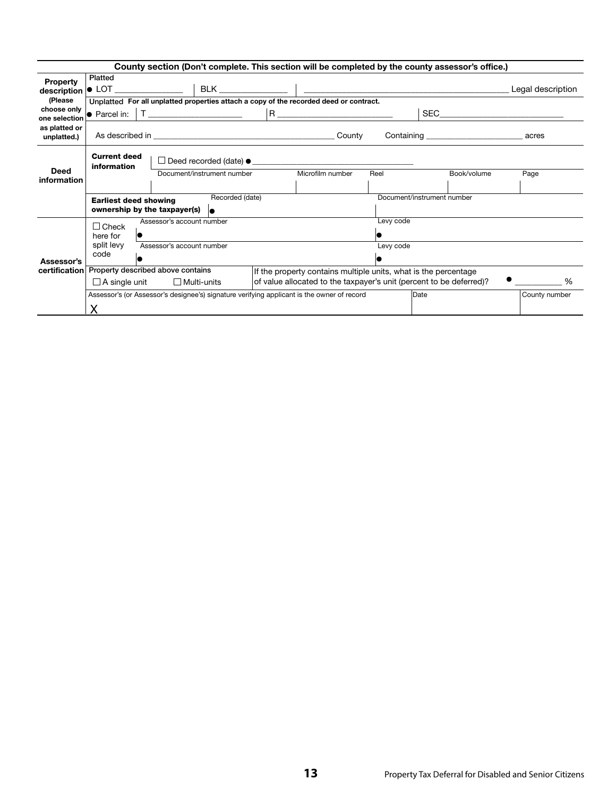| County section (Don't complete. This section will be completed by the county assessor's office.) |                                    |                                                                              |                                         |  |                                                                                            |           |                                                                     |                   |
|--------------------------------------------------------------------------------------------------|------------------------------------|------------------------------------------------------------------------------|-----------------------------------------|--|--------------------------------------------------------------------------------------------|-----------|---------------------------------------------------------------------|-------------------|
| <b>Property</b><br>description                                                                   | Platted                            |                                                                              |                                         |  |                                                                                            |           |                                                                     | Legal description |
| (Please)                                                                                         |                                    |                                                                              |                                         |  | Unplatted For all unplatted properties attach a copy of the recorded deed or contract.     |           |                                                                     |                   |
| choose only<br>one selection                                                                     |                                    |                                                                              | • Parcel in:   T ______________________ |  | $R \xrightarrow{\qquad \qquad }$                                                           |           | SEC                                                                 |                   |
| as platted or<br>unplatted.)                                                                     |                                    |                                                                              |                                         |  |                                                                                            |           |                                                                     |                   |
|                                                                                                  | <b>Current deed</b><br>information |                                                                              |                                         |  | $\Box$ Deed recorded (date) $\bullet$                                                      |           |                                                                     |                   |
| Deed<br>information                                                                              |                                    |                                                                              | Document/instrument number              |  | Microfilm number                                                                           | Reel      | Book/volume                                                         | Page              |
|                                                                                                  | <b>Earliest deed showing</b>       | ownership by the taxpayer(s)                                                 | Recorded (date)<br>le.                  |  |                                                                                            |           | Document/instrument number                                          |                   |
|                                                                                                  | $\Box$ Check<br>here for           | Assessor's account number                                                    |                                         |  |                                                                                            | Levy code |                                                                     |                   |
| Assessor's                                                                                       | split levy<br>code                 | Assessor's account number                                                    |                                         |  |                                                                                            | Levy code |                                                                     |                   |
| certification                                                                                    |                                    | Property described above contains<br>$\Box$ A single unit $\Box$ Multi-units |                                         |  | If the property contains multiple units, what is the percentage                            |           | of value allocated to the taxpayer's unit (percent to be deferred)? | %                 |
|                                                                                                  | X                                  |                                                                              |                                         |  | Assessor's (or Assessor's designee's) signature verifying applicant is the owner of record |           | Date                                                                | County number     |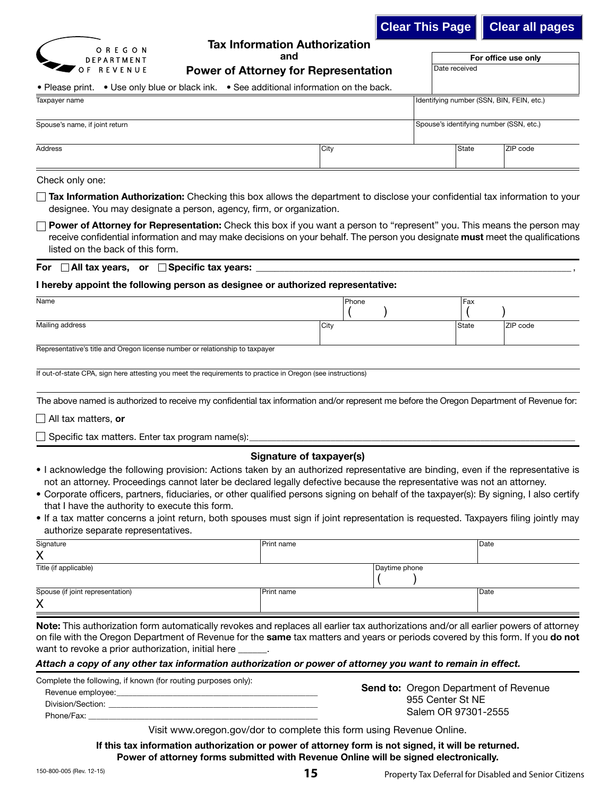|                                                                                                                                                                                                                                                                                                     |      | <b>Clear This Page</b> |               | <b>Clear all pages</b>                    |
|-----------------------------------------------------------------------------------------------------------------------------------------------------------------------------------------------------------------------------------------------------------------------------------------------------|------|------------------------|---------------|-------------------------------------------|
| <b>Tax Information Authorization</b><br>OREGON<br>and<br><b>DEPARTMENT</b><br>OF REVENUE<br><b>Power of Attorney for Representation</b>                                                                                                                                                             |      |                        | Date received | For office use only                       |
| • Please print. • Use only blue or black ink. • See additional information on the back.                                                                                                                                                                                                             |      |                        |               |                                           |
| Taxpayer name                                                                                                                                                                                                                                                                                       |      |                        |               | Identifying number (SSN, BIN, FEIN, etc.) |
| Spouse's name, if joint return                                                                                                                                                                                                                                                                      |      |                        |               | Spouse's identifying number (SSN, etc.)   |
| <b>Address</b>                                                                                                                                                                                                                                                                                      | City |                        | State         | ZIP code                                  |
| Check only one:                                                                                                                                                                                                                                                                                     |      |                        |               |                                           |
| <b>Tax Information Authorization:</b> Checking this box allows the department to disclose your confidential tax information to your<br>designee. You may designate a person, agency, firm, or organization.                                                                                         |      |                        |               |                                           |
| Power of Attorney for Representation: Check this box if you want a person to "represent" you. This means the person may<br>receive confidential information and may make decisions on your behalf. The person you designate <b>must</b> meet the qualifications<br>listed on the back of this form. |      |                        |               |                                           |
| For $\Box$ All tax years, or $\Box$ Specific tax years:                                                                                                                                                                                                                                             |      |                        |               |                                           |
| I hereby appoint the following person as designee or authorized representative:                                                                                                                                                                                                                     |      |                        |               |                                           |

| Name                                                                         |      | Phone | Fax   |          |
|------------------------------------------------------------------------------|------|-------|-------|----------|
|                                                                              |      |       |       |          |
| Mailing address                                                              | City |       | State | ZIP code |
| Representative's title and Oregon license number or relationship to taxpayer |      |       |       |          |

If out-of-state CPA, sign here attesting you meet the requirements to practice in Oregon (see instructions)

The above named is authorized to receive my confidential tax information and/or represent me before the Oregon Department of Revenue for:

 $\Box$  All tax matters, or

 $\Box$  Specific tax matters. Enter tax program name(s):

#### Signature of taxpayer(s)

- I acknowledge the following provision: Actions taken by an authorized representative are binding, even if the representative is not an attorney. Proceedings cannot later be declared legally defective because the representative was not an attorney.
- Corporate officers, partners, fiduciaries, or other qualified persons signing on behalf of the taxpayer(s): By signing, I also certify that I have the authority to execute this form.
- If a tax matter concerns a joint return, both spouses must sign if joint representation is requested. Taxpayers filing jointly may authorize separate representatives.

| Signature                        | Print name |               | Date |
|----------------------------------|------------|---------------|------|
| $\checkmark$<br>∧                |            |               |      |
| Title (if applicable)            |            | Daytime phone |      |
|                                  |            |               |      |
| Spouse (if joint representation) | Print name |               | Date |
| X                                |            |               |      |
|                                  |            |               |      |

Note: This authorization form automatically revokes and replaces all earlier tax authorizations and/or all earlier powers of attorney on file with the Oregon Department of Revenue for the same tax matters and years or periods covered by this form. If you do not want to revoke a prior authorization, initial here

#### *Attach a copy of any other tax information authorization or power of attorney you want to remain in effect.*

| Complete the following, if known (for routing purposes only): |  |  |
|---------------------------------------------------------------|--|--|
| Revenue employee:                                             |  |  |
| Division/Section:                                             |  |  |
| Phone/Fax:                                                    |  |  |

**Send to: Oregon Department of Revenue**  955 Center St NE Salem OR 97301-2555

Visit www.oregon.gov/dor to complete this form using Revenue Online.

If this tax information authorization or power of attorney form is not signed, it will be returned. Power of attorney forms submitted with Revenue Online will be signed electronically.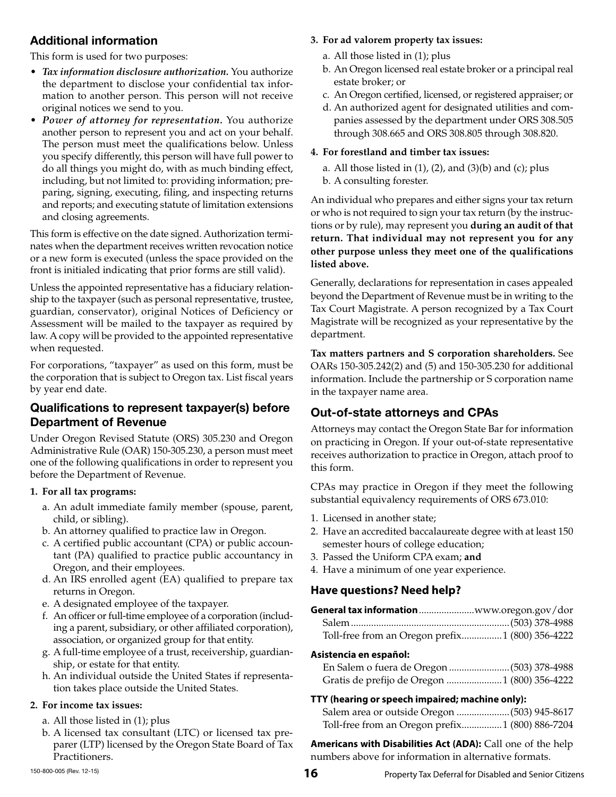## Additional information

This form is used for two purposes:

- *Tax information disclosure authorization.* You authorize the department to disclose your confidential tax information to another person. This person will not receive original notices we send to you.
- *Power of attorney for representation.* You authorize another person to represent you and act on your behalf. The person must meet the qualifications below. Unless you specify differently, this person will have full power to do all things you might do, with as much binding effect, including, but not limited to: providing information; preparing, signing, executing, filing, and inspecting returns and reports; and executing statute of limitation extensions and closing agreements.

This form is effective on the date signed. Authorization terminates when the department receives written revocation notice or a new form is executed (unless the space provided on the front is initialed indicating that prior forms are still valid).

Unless the appointed representative has a fiduciary relationship to the taxpayer (such as personal representative, trustee, guardian, conservator), original Notices of Deficiency or Assessment will be mailed to the taxpayer as required by law. A copy will be provided to the appointed representative when requested.

For corporations, "taxpayer" as used on this form, must be the corporation that is subject to Oregon tax. List fiscal years by year end date.

#### Qualifications to represent taxpayer(s) before Department of Revenue

Under Oregon Revised Statute (ORS) 305.230 and Oregon Administrative Rule (OAR) 150-305.230, a person must meet one of the following qualifications in order to represent you before the Department of Revenue.

#### **1. For all tax programs:**

- a. An adult immediate family member (spouse, parent, child, or sibling).
- b. An attorney qualified to practice law in Oregon.
- c. A certified public accountant (CPA) or public accountant (PA) qualified to practice public accountancy in Oregon, and their employees.
- d. An IRS enrolled agent (EA) qualified to prepare tax returns in Oregon.
- e. A designated employee of the taxpayer.
- f. An officer or full-time employee of a corporation (including a parent, subsidiary, or other affiliated corporation), association, or organized group for that entity.
- g. A full-time employee of a trust, receivership, guardianship, or estate for that entity.
- h. An individual outside the United States if representation takes place outside the United States.

#### **2. For income tax issues:**

- a. All those listed in (1); plus
- b. A licensed tax consultant (LTC) or licensed tax preparer (LTP) licensed by the Oregon State Board of Tax Practitioners.

#### **3. For ad valorem property tax issues:**

- a. All those listed in (1); plus
- b. An Oregon licensed real estate broker or a principal real estate broker; or
- c. An Oregon certified, licensed, or registered appraiser; or
- d. An authorized agent for designated utilities and companies assessed by the department under ORS 308.505 through 308.665 and ORS 308.805 through 308.820.

#### **4. For forestland and timber tax issues:**

- a. All those listed in  $(1)$ ,  $(2)$ , and  $(3)(b)$  and  $(c)$ ; plus
- b. A consulting forester.

An individual who prepares and either signs your tax return or who is not required to sign your tax return (by the instructions or by rule), may represent you **during an audit of that return. That individual may not represent you for any other purpose unless they meet one of the qualifications listed above.**

Generally, declarations for representation in cases appealed beyond the Department of Revenue must be in writing to the Tax Court Magistrate. A person recognized by a Tax Court Magistrate will be recognized as your representative by the department.

**Tax matters partners and S corporation shareholders.** See OARs 150-305.242(2) and (5) and 150-305.230 for additional information. Include the partnership or S corporation name in the taxpayer name area.

## Out-of-state attorneys and CPAs

Attorneys may contact the Oregon State Bar for information on practicing in Oregon. If your out-of-state representative receives authorization to practice in Oregon, attach proof to this form.

CPAs may practice in Oregon if they meet the following substantial equivalency requirements of ORS 673.010:

- 1. Licensed in another state;
- 2. Have an accredited baccalaureate degree with at least 150 semester hours of college education;
- 3. Passed the Uniform CPA exam; **and**
- 4. Have a minimum of one year experience.

#### **Have questions? Need help?**

| General tax informationwww.oregon.gov/dor        |  |
|--------------------------------------------------|--|
|                                                  |  |
| Toll-free from an Oregon prefix 1 (800) 356-4222 |  |

#### **Asistencia en español:**

| Gratis de prefijo de Oregon  1 (800) 356-4222 |  |
|-----------------------------------------------|--|

#### **TTY (hearing or speech impaired; machine only):**

 Salem area or outside Oregon .....................(503) 945-8617 Toll-free from an Oregon prefix ................1 (800) 886-7204

**Americans with Disabilities Act (ADA):** Call one of the help numbers above for information in alternative formats.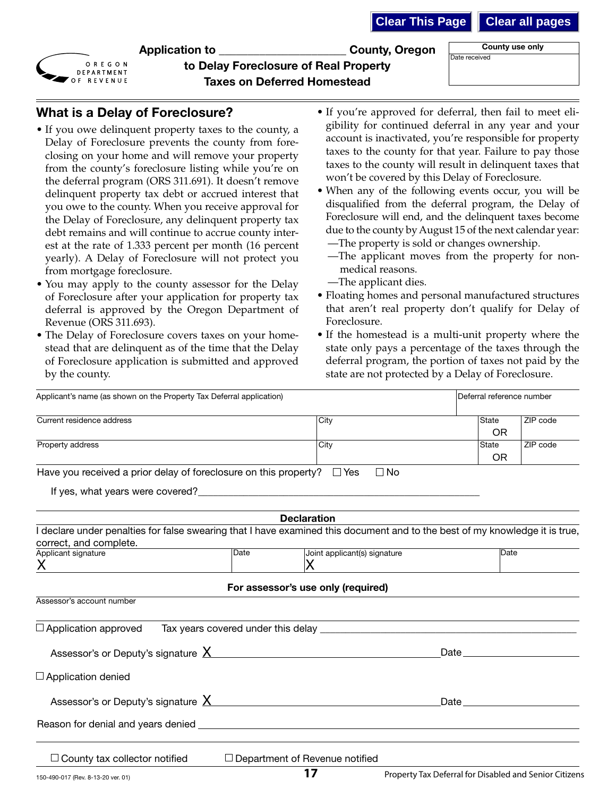| <b>Clear all pages</b> |  |
|------------------------|--|
|------------------------|--|



Application to \_\_\_\_\_\_\_\_\_\_\_\_\_\_\_\_\_\_\_\_\_\_ County, Oregon

County use only Date received

| to Delay Foreclosure of Real Property |
|---------------------------------------|
| <b>Taxes on Deferred Homestead</b>    |

#### What is a Delay of Foreclosure?

- If you owe delinquent property taxes to the county, a Delay of Foreclosure prevents the county from foreclosing on your home and will remove your property from the county's foreclosure listing while you're on the deferral program (ORS 311.691). It doesn't remove delinquent property tax debt or accrued interest that you owe to the county. When you receive approval for the Delay of Foreclosure, any delinquent property tax debt remains and will continue to accrue county interest at the rate of 1.333 percent per month (16 percent yearly). A Delay of Foreclosure will not protect you from mortgage foreclosure.
- You may apply to the county assessor for the Delay of Foreclosure after your application for property tax deferral is approved by the Oregon Department of Revenue (ORS 311.693).
- The Delay of Foreclosure covers taxes on your homestead that are delinquent as of the time that the Delay of Foreclosure application is submitted and approved by the county.
- If you're approved for deferral, then fail to meet eligibility for continued deferral in any year and your account is inactivated, you're responsible for property taxes to the county for that year. Failure to pay those taxes to the county will result in delinquent taxes that won't be covered by this Delay of Foreclosure.
- When any of the following events occur, you will be disqualified from the deferral program, the Delay of Foreclosure will end, and the delinquent taxes become due to the county by August 15 of the next calendar year: —The property is sold or changes ownership.
	- —The applicant moves from the property for nonmedical reasons.
	- —The applicant dies.
- Floating homes and personal manufactured structures that aren't real property don't qualify for Delay of Foreclosure.
- If the homestead is a multi-unit property where the state only pays a percentage of the taxes through the deferral program, the portion of taxes not paid by the state are not protected by a Delay of Foreclosure.

| Applicant's name (as shown on the Property Tax Deferral application)                                                                                                                                                          |                                                                                                                                                                                                                                | Deferral reference number                                                                                                                                                                                                           |
|-------------------------------------------------------------------------------------------------------------------------------------------------------------------------------------------------------------------------------|--------------------------------------------------------------------------------------------------------------------------------------------------------------------------------------------------------------------------------|-------------------------------------------------------------------------------------------------------------------------------------------------------------------------------------------------------------------------------------|
| Current residence address                                                                                                                                                                                                     | City                                                                                                                                                                                                                           | ZIP code<br>State<br>OR.                                                                                                                                                                                                            |
| Property address                                                                                                                                                                                                              | City                                                                                                                                                                                                                           | ZIP code<br>State<br>OR.                                                                                                                                                                                                            |
| Have you received a prior delay of foreclosure on this property? $\Box$ Yes                                                                                                                                                   | $\square$ No                                                                                                                                                                                                                   |                                                                                                                                                                                                                                     |
|                                                                                                                                                                                                                               |                                                                                                                                                                                                                                |                                                                                                                                                                                                                                     |
|                                                                                                                                                                                                                               | <b>Declaration</b>                                                                                                                                                                                                             |                                                                                                                                                                                                                                     |
| I declare under penalties for false swearing that I have examined this document and to the best of my knowledge it is true,<br>correct, and complete.                                                                         |                                                                                                                                                                                                                                |                                                                                                                                                                                                                                     |
| Date<br>Applicant signature<br>X                                                                                                                                                                                              | Joint applicant(s) signature<br>Х                                                                                                                                                                                              | Date                                                                                                                                                                                                                                |
|                                                                                                                                                                                                                               | For assessor's use only (required)                                                                                                                                                                                             |                                                                                                                                                                                                                                     |
| Assessor's account number                                                                                                                                                                                                     |                                                                                                                                                                                                                                |                                                                                                                                                                                                                                     |
| $\Box$ Application approved                                                                                                                                                                                                   | Tax years covered under this delay experience and the control of the control of the control of the control of the control of the control of the control of the control of the control of the control of the control of the con |                                                                                                                                                                                                                                     |
| Assessor's or Deputy's signature X                                                                                                                                                                                            |                                                                                                                                                                                                                                | Date <u>and</u> the contract of the contract of the contract of the contract of the contract of the contract of the contract of the contract of the contract of the contract of the contract of the contract of the contract of the |
| $\Box$ Application denied                                                                                                                                                                                                     |                                                                                                                                                                                                                                |                                                                                                                                                                                                                                     |
|                                                                                                                                                                                                                               |                                                                                                                                                                                                                                | Date has a series of the series of the series of the series of the series of the series of the series of the series of the series of the series of the series of the series of the series of the series of the series of the s      |
| Reason for denial and years denied experience of the state of the state of the state of the state of the state of the state of the state of the state of the state of the state of the state of the state of the state of the |                                                                                                                                                                                                                                |                                                                                                                                                                                                                                     |
| $\Box$ County tax collector notified                                                                                                                                                                                          | $\Box$ Department of Revenue notified                                                                                                                                                                                          |                                                                                                                                                                                                                                     |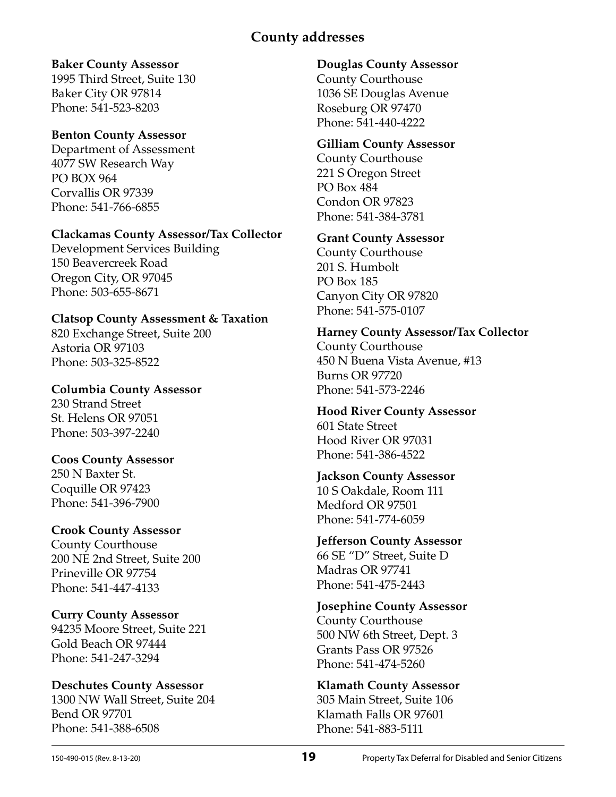## **County addresses**

#### **Baker County Assessor**

1995 Third Street, Suite 130 Baker City OR 97814 Phone: 541-523-8203

#### **Benton County Assessor**

Department of Assessment 4077 SW Research Way PO BOX 964 Corvallis OR 97339 Phone: 541-766-6855

#### **Clackamas County Assessor/Tax Collector**

Development Services Building 150 Beavercreek Road Oregon City, OR 97045 Phone: 503-655-8671

## **Clatsop County Assessment & Taxation**

820 Exchange Street, Suite 200 Astoria OR 97103 Phone: 503-325-8522

## **Columbia County Assessor** 230 Strand Street

St. Helens OR 97051 Phone: 503-397-2240

## **Coos County Assessor**

250 N Baxter St. Coquille OR 97423 Phone: 541-396-7900

## **Crook County Assessor**

County Courthouse 200 NE 2nd Street, Suite 200 Prineville OR 97754 Phone: 541-447-4133

## **Curry County Assessor**

94235 Moore Street, Suite 221 Gold Beach OR 97444 Phone: 541-247-3294

#### **Deschutes County Assessor** 1300 NW Wall Street, Suite 204 Bend OR 97701 Phone: 541-388-6508

## **Douglas County Assessor**

County Courthouse 1036 SE Douglas Avenue Roseburg OR 97470 Phone: 541-440-4222

## **Gilliam County Assessor**

County Courthouse 221 S Oregon Street PO Box 484 Condon OR 97823 Phone: 541-384-3781

## **Grant County Assessor**

County Courthouse 201 S. Humbolt PO Box 185 Canyon City OR 97820 Phone: 541-575-0107

## **Harney County Assessor/Tax Collector**  County Courthouse

450 N Buena Vista Avenue, #13 Burns OR 97720 Phone: 541-573-2246

## **Hood River County Assessor** 601 State Street Hood River OR 97031 Phone: 541-386-4522

#### **Jackson County Assessor** 10 S Oakdale, Room 111 Medford OR 97501

Phone: 541-774-6059

# **Jefferson County Assessor**

66 SE "D" Street, Suite D Madras OR 97741 Phone: 541-475-2443

#### **Josephine County Assessor**  County Courthouse 500 NW 6th Street, Dept. 3 Grants Pass OR 97526 Phone: 541-474-5260

#### **Klamath County Assessor** 305 Main Street, Suite 106 Klamath Falls OR 97601 Phone: 541-883-5111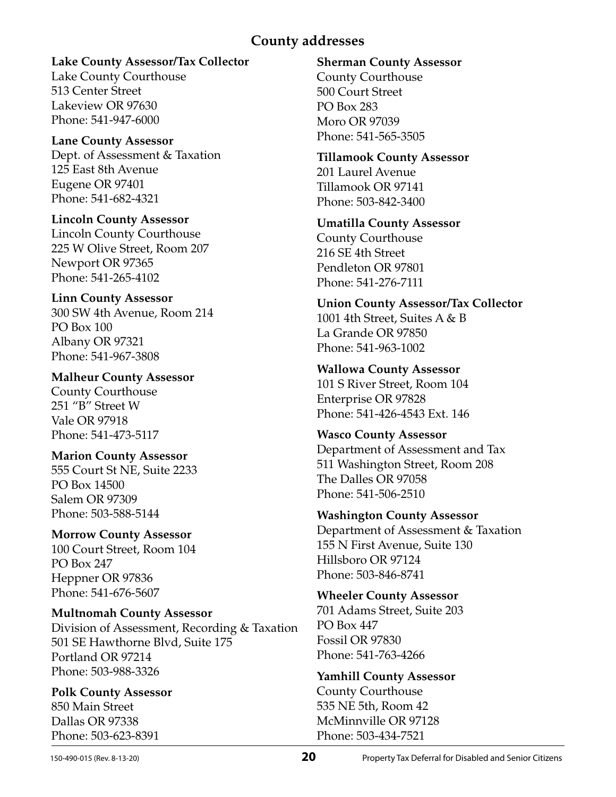## **County addresses**

#### **Lake County Assessor/Tax Collector**

Lake County Courthouse 513 Center Street Lakeview OR 97630 Phone: 541-947-6000

**Lane County Assessor** Dept. of Assessment & Taxation 125 East 8th Avenue Eugene OR 97401 Phone: 541-682-4321

**Lincoln County Assessor** Lincoln County Courthouse 225 W Olive Street, Room 207 Newport OR 97365 Phone: 541-265-4102

#### **Linn County Assessor** 300 SW 4th Avenue, Room 214 PO Box 100 Albany OR 97321 Phone: 541-967-3808

**Malheur County Assessor** County Courthouse 251 "B" Street W Vale OR 97918 Phone: 541-473-5117

#### **Marion County Assessor** 555 Court St NE, Suite 2233 PO Box 14500 Salem OR 97309 Phone: 503-588-5144

**Morrow County Assessor**  100 Court Street, Room 104 PO Box 247 Heppner OR 97836 Phone: 541-676-5607

**Multnomah County Assessor** Division of Assessment, Recording & Taxation 501 SE Hawthorne Blvd, Suite 175 Portland OR 97214 Phone: 503-988-3326

**Polk County Assessor**  850 Main Street Dallas OR 97338 Phone: 503-623-8391

#### **Sherman County Assessor**

County Courthouse 500 Court Street PO Box 283 Moro OR 97039 Phone: 541-565-3505

**Tillamook County Assessor** 201 Laurel Avenue Tillamook OR 97141 Phone: 503-842-3400

**Umatilla County Assessor** County Courthouse 216 SE 4th Street Pendleton OR 97801 Phone: 541-276-7111

**Union County Assessor/Tax Collector** 1001 4th Street, Suites A & B La Grande OR 97850 Phone: 541-963-1002

**Wallowa County Assessor** 101 S River Street, Room 104 Enterprise OR 97828 Phone: 541-426-4543 Ext. 146

**Wasco County Assessor** Department of Assessment and Tax 511 Washington Street, Room 208 The Dalles OR 97058 Phone: 541-506-2510

**Washington County Assessor** Department of Assessment & Taxation 155 N First Avenue, Suite 130 Hillsboro OR 97124 Phone: 503-846-8741

**Wheeler County Assessor**  701 Adams Street, Suite 203 PO Box 447 Fossil OR 97830 Phone: 541-763-4266

**Yamhill County Assessor** County Courthouse 535 NE 5th, Room 42 McMinnville OR 97128 Phone: 503-434-7521